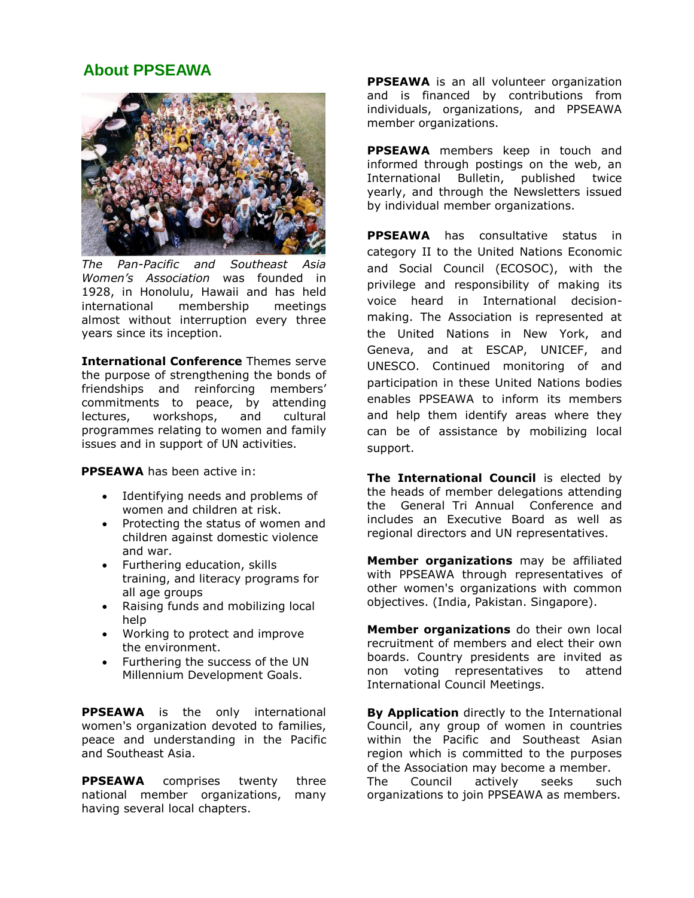## **About PPSEAWA**



*The Pan-Pacific and Southeast Asia Women's Association* was founded in 1928, in Honolulu, Hawaii and has held international membership meetings almost without interruption every three years since its inception.

**International Conference** Themes serve the purpose of strengthening the bonds of friendships and reinforcing members' commitments to peace, by attending lectures, workshops, and cultural programmes relating to women and family issues and in support of UN activities.

**PPSEAWA** has been active in:

- Identifying needs and problems of women and children at risk.
- Protecting the status of women and children against domestic violence and war.
- Furthering education, skills training, and literacy programs for all age groups
- Raising funds and mobilizing local help
- Working to protect and improve the environment.
- Furthering the success of the UN Millennium Development Goals.

**PPSEAWA** is the only international women's organization devoted to families, peace and understanding in the Pacific and Southeast Asia.

**PPSEAWA** comprises twenty three national member organizations, many having several local chapters.

**PPSEAWA** is an all volunteer organization and is financed by contributions from individuals, organizations, and PPSEAWA member organizations.

**PPSEAWA** members keep in touch and informed through postings on the web, an International Bulletin, published twice yearly, and through the Newsletters issued by individual member organizations.

**PPSEAWA** has consultative status in category II to the United Nations Economic and Social Council (ECOSOC), with the privilege and responsibility of making its voice heard in International decisionmaking. The Association is represented at the United Nations in New York, and Geneva, and at ESCAP, UNICEF, and UNESCO. Continued monitoring of and participation in these United Nations bodies enables PPSEAWA to inform its members and help them identify areas where they can be of assistance by mobilizing local support.

**The International Council** is elected by the heads of member delegations attending the General Tri Annual Conference and includes an Executive Board as well as regional directors and UN representatives.

**Member organizations** may be affiliated with PPSEAWA through representatives of other women's organizations with common objectives. (India, Pakistan. Singapore).

**Member organizations** do their own local recruitment of members and elect their own boards. Country presidents are invited as non voting representatives to attend International Council Meetings.

**By Application** directly to the International Council, any group of women in countries within the Pacific and Southeast Asian region which is committed to the purposes of the Association may become a member. The Council actively seeks such organizations to join PPSEAWA as members.